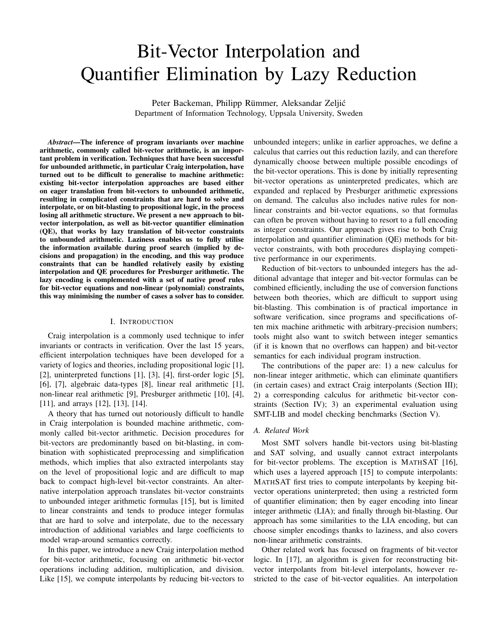# Bit-Vector Interpolation and Quantifier Elimination by Lazy Reduction

Peter Backeman, Philipp Rümmer, Aleksandar Zeljić Department of Information Technology, Uppsala University, Sweden

*Abstract*—The inference of program invariants over machine arithmetic, commonly called bit-vector arithmetic, is an important problem in verification. Techniques that have been successful for unbounded arithmetic, in particular Craig interpolation, have turned out to be difficult to generalise to machine arithmetic: existing bit-vector interpolation approaches are based either on eager translation from bit-vectors to unbounded arithmetic, resulting in complicated constraints that are hard to solve and interpolate, or on bit-blasting to propositional logic, in the process losing all arithmetic structure. We present a new approach to bitvector interpolation, as well as bit-vector quantifier elimination (QE), that works by lazy translation of bit-vector constraints to unbounded arithmetic. Laziness enables us to fully utilise the information available during proof search (implied by decisions and propagation) in the encoding, and this way produce constraints that can be handled relatively easily by existing interpolation and QE procedures for Presburger arithmetic. The lazy encoding is complemented with a set of native proof rules for bit-vector equations and non-linear (polynomial) constraints, this way minimising the number of cases a solver has to consider.

# I. INTRODUCTION

Craig interpolation is a commonly used technique to infer invariants or contracts in verification. Over the last 15 years, efficient interpolation techniques have been developed for a variety of logics and theories, including propositional logic [\[1\]](#page-9-0), [\[2\]](#page-9-1), uninterpreted functions [\[1\]](#page-9-0), [\[3\]](#page-9-2), [\[4\]](#page-9-3), first-order logic [\[5\]](#page-9-4), [\[6\]](#page-9-5), [\[7\]](#page-9-6), algebraic data-types [\[8\]](#page-9-7), linear real arithmetic [\[1\]](#page-9-0), non-linear real arithmetic [\[9\]](#page-9-8), Presburger arithmetic [\[10\]](#page-9-9), [\[4\]](#page-9-3), [\[11\]](#page-9-10), and arrays [\[12\]](#page-9-11), [\[13\]](#page-9-12), [\[14\]](#page-9-13).

A theory that has turned out notoriously difficult to handle in Craig interpolation is bounded machine arithmetic, commonly called bit-vector arithmetic. Decision procedures for bit-vectors are predominantly based on bit-blasting, in combination with sophisticated preprocessing and simplification methods, which implies that also extracted interpolants stay on the level of propositional logic and are difficult to map back to compact high-level bit-vector constraints. An alternative interpolation approach translates bit-vector constraints to unbounded integer arithmetic formulas [\[15\]](#page-9-14), but is limited to linear constraints and tends to produce integer formulas that are hard to solve and interpolate, due to the necessary introduction of additional variables and large coefficients to model wrap-around semantics correctly.

In this paper, we introduce a new Craig interpolation method for bit-vector arithmetic, focusing on arithmetic bit-vector operations including addition, multiplication, and division. Like [\[15\]](#page-9-14), we compute interpolants by reducing bit-vectors to unbounded integers; unlike in earlier approaches, we define a calculus that carries out this reduction lazily, and can therefore dynamically choose between multiple possible encodings of the bit-vector operations. This is done by initially representing bit-vector operations as uninterpreted predicates, which are expanded and replaced by Presburger arithmetic expressions on demand. The calculus also includes native rules for nonlinear constraints and bit-vector equations, so that formulas can often be proven without having to resort to a full encoding as integer constraints. Our approach gives rise to both Craig interpolation and quantifier elimination (QE) methods for bitvector constraints, with both procedures displaying competitive performance in our experiments.

Reduction of bit-vectors to unbounded integers has the additional advantage that integer and bit-vector formulas can be combined efficiently, including the use of conversion functions between both theories, which are difficult to support using bit-blasting. This combination is of practical importance in software verification, since programs and specifications often mix machine arithmetic with arbitrary-precision numbers; tools might also want to switch between integer semantics (if it is known that no overflows can happen) and bit-vector semantics for each individual program instruction.

The contributions of the paper are: 1) a new calculus for non-linear integer arithmetic, which can eliminate quantifiers (in certain cases) and extract Craig interpolants (Section [III\)](#page-2-0); 2) a corresponding calculus for arithmetic bit-vector constraints (Section [IV\)](#page-4-0); 3) an experimental evaluation using SMT-LIB and model checking benchmarks (Section [V\)](#page-8-0).

#### *A. Related Work*

Most SMT solvers handle bit-vectors using bit-blasting and SAT solving, and usually cannot extract interpolants for bit-vector problems. The exception is MATHSAT [\[16\]](#page-9-15), which uses a layered approach [\[15\]](#page-9-14) to compute interpolants: MATHSAT first tries to compute interpolants by keeping bitvector operations uninterpreted; then using a restricted form of quantifier elimination; then by eager encoding into linear integer arithmetic (LIA); and finally through bit-blasting. Our approach has some similarities to the LIA encoding, but can choose simpler encodings thanks to laziness, and also covers non-linear arithmetic constraints.

Other related work has focused on fragments of bit-vector logic. In [\[17\]](#page-9-16), an algorithm is given for reconstructing bitvector interpolants from bit-level interpolants, however restricted to the case of bit-vector equalities. An interpolation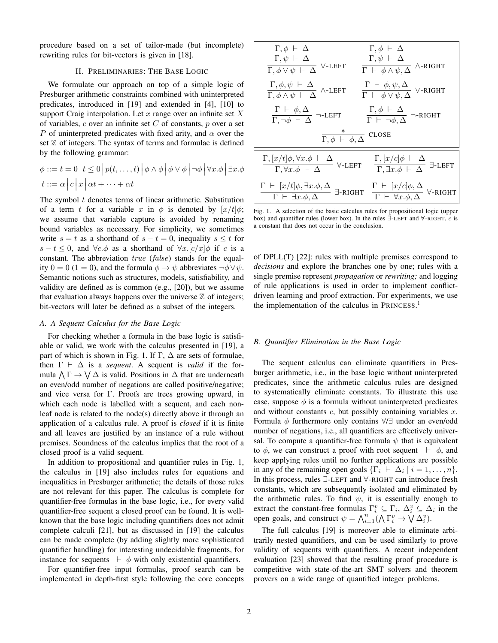procedure based on a set of tailor-made (but incomplete) rewriting rules for bit-vectors is given in [\[18\]](#page-9-17).

# II. PRELIMINARIES: THE BASE LOGIC

We formulate our approach on top of a simple logic of Presburger arithmetic constraints combined with uninterpreted predicates, introduced in [\[19\]](#page-9-18) and extended in [\[4\]](#page-9-3), [\[10\]](#page-9-9) to support Craig interpolation. Let x range over an infinite set  $X$ of variables, c over an infinite set  $C$  of constants, p over a set P of uninterpreted predicates with fixed arity, and  $\alpha$  over the set  $Z$  of integers. The syntax of terms and formulae is defined by the following grammar:

$$
\phi ::= t = 0 | t \le 0 | p(t, ..., t) | \phi \wedge \phi | \phi \vee \phi | \neg \phi | \forall x. \phi | \exists x. \phi
$$
  

$$
t ::= \alpha | c | x | \alpha t + \dots + \alpha t
$$

The symbol  $t$  denotes terms of linear arithmetic. Substitution of a term t for a variable x in  $\phi$  is denoted by  $[x/t]\phi$ ; we assume that variable capture is avoided by renaming bound variables as necessary. For simplicity, we sometimes write  $s = t$  as a shorthand of  $s - t = 0$ , inequality  $s \leq t$  for s − t ≤ 0, and  $\forall c.\phi$  as a shorthand of  $\forall x.[c/x]\phi$  if c is a constant. The abbreviation true (false) stands for the equality  $0 = 0$  (1 = 0), and the formula  $\phi \rightarrow \psi$  abbreviates  $\neg \phi \lor \psi$ . Semantic notions such as structures, models, satisfiability, and validity are defined as is common (e.g., [\[20\]](#page-9-19)), but we assume that evaluation always happens over the universe  $\mathbb Z$  of integers; bit-vectors will later be defined as a subset of the integers.

#### <span id="page-1-1"></span>*A. A Sequent Calculus for the Base Logic*

For checking whether a formula in the base logic is satisfiable or valid, we work with the calculus presented in [\[19\]](#page-9-18), a part of which is shown in Fig. [1.](#page-1-0) If  $\Gamma$ ,  $\Delta$  are sets of formulae, then  $\Gamma \vdash \Delta$  is a *sequent*. A sequent is *valid* if the formula  $\bigwedge \Gamma \to \bigvee \Delta$  is valid. Positions in  $\Delta$  that are underneath an even/odd number of negations are called positive/negative; and vice versa for Γ. Proofs are trees growing upward, in which each node is labelled with a sequent, and each nonleaf node is related to the node(s) directly above it through an application of a calculus rule. A proof is *closed* if it is finite and all leaves are justified by an instance of a rule without premises. Soundness of the calculus implies that the root of a closed proof is a valid sequent.

In addition to propositional and quantifier rules in Fig. [1,](#page-1-0) the calculus in [\[19\]](#page-9-18) also includes rules for equations and inequalities in Presburger arithmetic; the details of those rules are not relevant for this paper. The calculus is complete for quantifier-free formulas in the base logic, i.e., for every valid quantifier-free sequent a closed proof can be found. It is wellknown that the base logic including quantifiers does not admit complete calculi [\[21\]](#page-9-20), but as discussed in [\[19\]](#page-9-18) the calculus can be made complete (by adding slightly more sophisticated quantifier handling) for interesting undecidable fragments, for instance for sequents  $\vdash \phi$  with only existential quantifiers.

For quantifier-free input formulas, proof search can be implemented in depth-first style following the core concepts

$$
\Gamma, \phi \vdash \Delta \qquad \Gamma, \psi \vdash \Delta
$$
\n
$$
\Gamma, \psi \vdash \Delta \qquad \Gamma, \psi \vdash \Delta
$$
\n
$$
\Gamma, \phi \lor \psi \vdash \Delta \lor \text{LEFT} \qquad \Gamma \vdash \phi \land \psi, \Delta \land \text{-RIGHT}
$$
\n
$$
\frac{\Gamma, \phi, \psi \vdash \Delta}{\Gamma, \phi \land \psi \vdash \Delta} \land \text{-LEFT} \qquad \frac{\Gamma \vdash \phi, \psi, \Delta}{\Gamma \vdash \phi \lor \psi, \Delta} \lor \text{-RIGHT}
$$
\n
$$
\frac{\Gamma \vdash \phi, \Delta}{\Gamma, \neg \phi \vdash \Delta} \neg \text{-LEFT} \qquad \frac{\Gamma, \phi \vdash \Delta}{\Gamma \vdash \neg \phi, \Delta} \neg \text{-RIGHT}
$$
\n
$$
\frac{\frac{\pi}{\Gamma, \phi \vdash \phi, \Delta}}{\Gamma, \phi \vdash \phi, \Delta} \text{Close}
$$
\n
$$
\frac{\Gamma, [x/t] \phi, \forall x. \phi \vdash \Delta}{\Gamma, \forall x. \phi \vdash \Delta} \forall \text{-LEFT} \qquad \frac{\Gamma, [x/c] \phi \vdash \Delta}{\Gamma, \exists x. \phi \vdash \Delta} \exists \text{-LEFT}
$$
\n
$$
\frac{\Gamma \vdash [x/t] \phi, \exists x. \phi, \Delta}{\Gamma \vdash \exists x. \phi, \Delta} \exists \text{-RIGHT} \qquad \frac{\Gamma \vdash [x/c] \phi, \Delta}{\Gamma \vdash \forall x. \phi, \Delta} \forall \text{-RIGHT}
$$

<span id="page-1-0"></span>Fig. 1. A selection of the basic calculus rules for propositional logic (upper box) and quantifier rules (lower box). In the rules ∃-LEFT and ∀-RIGHT, c is a constant that does not occur in the conclusion.

of DPLL(T) [\[22\]](#page-9-21): rules with multiple premises correspond to *decisions* and explore the branches one by one; rules with a single premise represent *propagation* or *rewriting;* and logging of rule applications is used in order to implement conflictdriven learning and proof extraction. For experiments, we use the implementation of the calculus in PRINCESS.<sup>[1](#page-2-1)</sup>

#### <span id="page-1-2"></span>*B. Quantifier Elimination in the Base Logic*

The sequent calculus can eliminate quantifiers in Presburger arithmetic, i.e., in the base logic without uninterpreted predicates, since the arithmetic calculus rules are designed to systematically eliminate constants. To illustrate this use case, suppose  $\phi$  is a formula without uninterpreted predicates and without constants  $c$ , but possibly containing variables  $x$ . Formula  $\phi$  furthermore only contains  $\forall/\exists$  under an even/odd number of negations, i.e., all quantifiers are effectively universal. To compute a quantifier-free formula  $\psi$  that is equivalent to  $\phi$ , we can construct a proof with root sequent  $\vdash \phi$ , and keep applying rules until no further applications are possible in any of the remaining open goals  $\{\Gamma_i \vdash \Delta_i \mid i = 1, \ldots, n\}.$ In this process, rules ∃-LEFT and ∀-RIGHT can introduce fresh constants, which are subsequently isolated and eliminated by the arithmetic rules. To find  $\psi$ , it is essentially enough to extract the constant-free formulas  $\Gamma_i^v \subseteq \Gamma_i$ ,  $\Delta_i^v \subseteq \Delta_i$  in the open goals, and construct  $\psi = \bigwedge_{i=1}^{n} (\bigwedge \Gamma_i^v \to \bigvee \Delta_i^v)$ .

The full calculus [\[19\]](#page-9-18) is moreover able to eliminate arbitrarily nested quantifiers, and can be used similarly to prove validity of sequents with quantifiers. A recent independent evaluation [\[23\]](#page-9-22) showed that the resulting proof procedure is competitive with state-of-the-art SMT solvers and theorem provers on a wide range of quantified integer problems.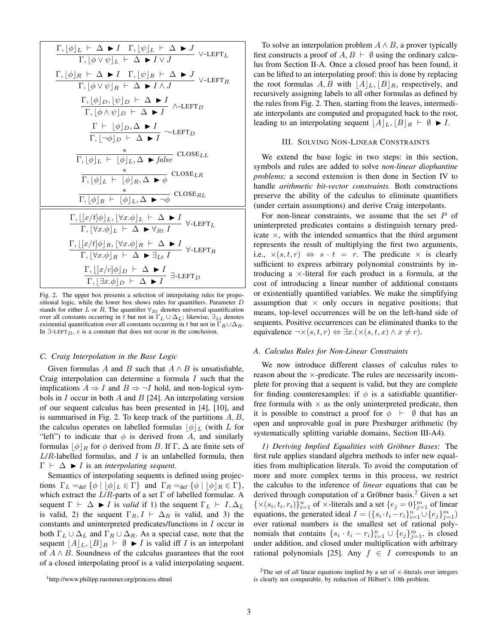$$
\frac{\Gamma, [\phi]_L \vdash \Delta \blacktriangleright I \quad \Gamma, [\psi]_L \vdash \Delta \blacktriangleright J \quad \forall \text{-LEFT}_L
$$
\n
$$
\frac{\Gamma, [\phi]_R \vdash \Delta \blacktriangleright I \quad \Gamma, [\psi]_R \vdash \Delta \blacktriangleright J}{\Gamma, [\phi \lor \psi]_R \vdash \Delta \blacktriangleright I \land J} \quad \forall \text{-LEFT}_R
$$
\n
$$
\frac{\Gamma, [\phi]_D, [\psi]_D \vdash \Delta \blacktriangleright I}{\Gamma, [\phi \land \psi]_D \vdash \Delta \blacktriangleright I} \quad \wedge \text{-LEFT}_D
$$
\n
$$
\frac{\Gamma \vdash [\phi]_D, \Delta \blacktriangleright I}{\Gamma, [\neg \phi]_D \vdash \Delta \blacktriangleright I} \quad \neg \text{-LEFT}_D
$$
\n
$$
\frac{\ast}{\Gamma, [\phi]_L \vdash [\phi]_L, \Delta \blacktriangleright false} \quad \text{CLOSE}_{LL}
$$
\n
$$
\frac{\ast}{\Gamma, [\phi]_L \vdash [\phi]_R, \Delta \blacktriangleright \phi} \quad \text{CLOSE}_{LR}
$$
\n
$$
\frac{\ast}{\Gamma, [\phi]_R \vdash [\phi]_L, \Delta \blacktriangleright \neg \phi} \quad \text{CLOSE}_{RL}
$$
\n
$$
\frac{\Gamma, [\{x/t \mid \phi\rfloor_L, [\forall x. \phi]_L \vdash \Delta \blacktriangleright I}{\Gamma, [\forall x. \phi]_L \vdash \Delta \blacktriangleright \forall_{Rt} I} \quad \forall \text{-LEFT}_L
$$
\n
$$
\frac{\Gamma, [\{x/t \mid \phi\rfloor_R, [\forall x. \phi]_R \vdash \Delta \blacktriangleright I}{\Gamma, [\forall x. \phi]_R \vdash \Delta \blacktriangleright \exists_{Lt} I} \quad \forall \text{-LEFT}_R
$$
\n
$$
\frac{\Gamma, [\{x/t \mid \phi\rfloor_R, [\forall x. \phi]_R \vdash \Delta \blacktriangleright I}{\Gamma, [\exists x. \phi]_D \vdash \Delta \blacktriangleright I} \exists \text{-LEFT}_D
$$

<span id="page-2-2"></span>Fig. 2. The upper box presents a selection of interpolating rules for propositional logic, while the lower box shows rules for quantifiers. Parameter  $D$ stands for either L or R. The quantifier  $\forall_{R_t}$  denotes universal quantification over all constants occurring in t but not in  $\Gamma_L \cup \Delta_L$ ; likewise,  $\exists_{Lt}$  denotes existential quantification over all constants occurring in t but not in  $\Gamma_R \cup \Delta_R$ . In  $\exists$ -LEFT<sub>D</sub>, c is a constant that does not occur in the conclusion.

#### <span id="page-2-6"></span>*C. Craig Interpolation in the Base Logic*

Given formulas A and B such that  $A \wedge B$  is unsatisfiable, Craig interpolation can determine a formula  $I$  such that the implications  $A \Rightarrow I$  and  $B \Rightarrow \neg I$  hold, and non-logical symbols in  $I$  occur in both  $A$  and  $B$  [\[24\]](#page-9-23). An interpolating version of our sequent calculus has been presented in [\[4\]](#page-9-3), [\[10\]](#page-9-9), and is summarised in Fig. [2.](#page-2-2) To keep track of the partitions  $A, B$ , the calculus operates on labelled formulas  $|\phi|_L$  (with L for "left") to indicate that  $\phi$  is derived from A, and similarly formulas  $|\phi|_R$  for  $\phi$  derived from B. If Γ,  $\Delta$  are finite sets of  $L/R$ -labelled formulas, and  $I$  is an unlabelled formula, then  $\Gamma \vdash \Delta \blacktriangleright I$  is an *interpolating sequent*.

Semantics of interpolating sequents is defined using projections  $\Gamma_L =_{def} {\phi \mid [\phi]_L \in \Gamma}$  and  $\Gamma_R =_{def} {\phi \mid [\phi]_R \in \Gamma}$ , which extract the  $L/R$ -parts of a set  $\Gamma$  of labelled formulae. A sequent  $\Gamma \vdash \Delta \blacktriangleright I$  is *valid* if 1) the sequent  $\Gamma_L \vdash I, \Delta_L$ is valid, 2) the sequent  $\Gamma_R$ ,  $I \vdash \Delta_R$  is valid, and 3) the constants and uninterpreted predicates/functions in I occur in both  $\Gamma_L \cup \Delta_L$  and  $\Gamma_R \cup \Delta_R$ . As a special case, note that the sequent  $[A]_L, [B]_R \vdash \emptyset \blacktriangleright I$  is valid iff I is an interpolant of  $A \wedge B$ . Soundness of the calculus guarantees that the root of a closed interpolating proof is a valid interpolating sequent.

#### III. SOLVING NON-LINEAR CONSTRAINTS

<span id="page-2-0"></span>We extend the base logic in two steps: in this section, symbols and rules are added to solve *non-linear diophantine problems;* a second extension is then done in Section [IV](#page-4-0) to handle *arithmetic bit-vector constraints.* Both constructions preserve the ability of the calculus to eliminate quantifiers (under certain assumptions) and derive Craig interpolants.

For non-linear constraints, we assume that the set  $P$  of uninterpreted predicates contains a distinguish ternary predicate  $\times$ , with the intended semantics that the third argument represents the result of multiplying the first two arguments, i.e.,  $\times (s,t,r) \Leftrightarrow s \cdot t = r$ . The predicate  $\times$  is clearly sufficient to express arbitrary polynomial constraints by introducing a ×-literal for each product in a formula, at the cost of introducing a linear number of additional constants or existentially quantified variables. We make the simplifying assumption that  $\times$  only occurs in negative positions; that means, top-level occurrences will be on the left-hand side of sequents. Positive occurrences can be eliminated thanks to the equivalence  $\neg \times (s, t, r) \Leftrightarrow \exists x. (\times (s, t, x) \land x \neq r).$ 

# <span id="page-2-5"></span>*A. Calculus Rules for Non-Linear Constraints*

We now introduce different classes of calculus rules to reason about the ×-predicate. The rules are necessarily incomplete for proving that a sequent is valid, but they are complete for finding counterexamples: if  $\phi$  is a satisfiable quantifierfree formula with  $\times$  as the only uninterpreted predicate, then it is possible to construct a proof for  $\phi \vdash \emptyset$  that has an open and unprovable goal in pure Presburger arithmetic (by systematically splitting variable domains, Section [III-A4\)](#page-3-0).

<span id="page-2-4"></span>*1) Deriving Implied Equalities with Grobner Bases: ¨* The first rule applies standard algebra methods to infer new equalities from multiplication literals. To avoid the computation of more and more complex terms in this process, we restrict the calculus to the inference of *linear* equations that can be derived through computation of a Gröbner basis.<sup>[2](#page-2-3)</sup> Given a set  $\{ \times (s_i, t_i, r_i) \}_{i=1}^n$  of  $\times$ -literals and a set  $\{ e_j = 0 \}_{j=1}^m$  of linear equations, the generated ideal  $I = (\{s_i \cdot t_i - r_i\}_{i=1}^n \cup \{e_j\}_{j=1}^m)$ over rational numbers is the smallest set of rational polynomials that contains  $\{s_i \cdot t_i - r_i\}_{i=1}^n \cup \{e_j\}_{j=1}^m$ , is closed under addition, and closed under multiplication with arbitrary rational polynomials [\[25\]](#page-9-24). Any  $f \in I$  corresponds to an

To solve an interpolation problem  $A \wedge B$ , a prover typically first constructs a proof of  $A, B \vdash \emptyset$  using the ordinary calculus from Section [II-A.](#page-1-1) Once a closed proof has been found, it can be lifted to an interpolating proof: this is done by replacing the root formulas  $A, B$  with  $\vert A \vert_L, \vert B \vert_R$ , respectively, and recursively assigning labels to all other formulas as defined by the rules from Fig. [2.](#page-2-2) Then, starting from the leaves, intermediate interpolants are computed and propagated back to the root, leading to an interpolating sequent  $[A]_L, [B]_R \vdash \emptyset \blacktriangleright I$ .

<span id="page-2-3"></span><sup>&</sup>lt;sup>2</sup>The set of *all* linear equations implied by a set of  $\times$ -literals over integers is clearly not computable, by reduction of Hilbert's 10th problem.

<span id="page-2-1"></span><sup>1</sup><http://www.philipp.ruemmer.org/princess.shtml>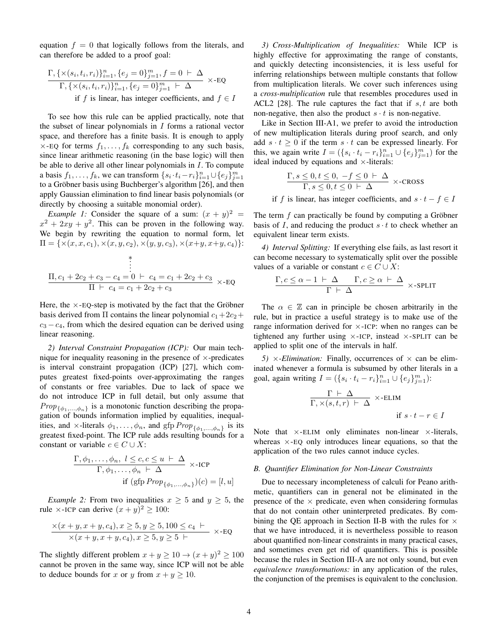equation  $f = 0$  that logically follows from the literals, and can therefore be added to a proof goal:

$$
\frac{\Gamma, \{\times(s_i, t_i, r_i)\}_{i=1}^n, \{e_j = 0\}_{j=1}^m, f = 0 \vdash \Delta \ \over \Gamma, \{\times(s_i, t_i, r_i)\}_{i=1}^n, \{e_j = 0\}_{j=1}^m \vdash \Delta \ \text{if } f \text{ is linear, has integer coefficients, and } f \in I
$$

To see how this rule can be applied practically, note that the subset of linear polynomials in  $I$  forms a rational vector space, and therefore has a finite basis. It is enough to apply  $\times$ -EQ for terms  $f_1, \ldots, f_k$  corresponding to any such basis, since linear arithmetic reasoning (in the base logic) will then be able to derive all other linear polynomials in  $I$ . To compute a basis  $f_1, \ldots, f_k$ , we can transform  $\{s_i \cdot t_i - r_i\}_{i=1}^n \cup \{e_j\}_{j=1}^m$ to a Gröbner basis using Buchberger's algorithm [\[26\]](#page-9-25), and then apply Gaussian elimination to find linear basis polynomials (or directly by choosing a suitable monomial order).

*Example 1:* Consider the square of a sum:  $(x + y)^2$  =  $x^2 + 2xy + y^2$ . This can be proven in the following way. We begin by rewriting the equation to normal form, let  $\Pi = \{ \times (x, x, c_1), \times (x, y, c_2), \times (y, y, c_3), \times (x+y, x+y, c_4) \}.$ 

$$
\frac{\text{I}_{1, c_{1}+2c_{2}+c_{3}-c_{4}=0}\ \vdots}{\text{I}_{1}+c_{4}=c_{1}+2c_{2}+c_{3}} \times EQ
$$

Here, the  $\times$ -EQ-step is motivated by the fact that the Gröbner basis derived from  $\Pi$  contains the linear polynomial  $c_1+2c_2+$  $c_3 - c_4$ , from which the desired equation can be derived using linear reasoning.

*2) Interval Constraint Propagation (ICP):* Our main technique for inequality reasoning in the presence of  $\times$ -predicates is interval constraint propagation (ICP) [\[27\]](#page-9-26), which computes greatest fixed-points over-approximating the ranges of constants or free variables. Due to lack of space we do not introduce ICP in full detail, but only assume that  $Prop_{\{\phi_1,\ldots,\phi_n\}}$  is a monotonic function describing the propagation of bounds information implied by equalities, inequalities, and  $\times$ -literals  $\phi_1, \ldots, \phi_n$ , and gfp  $Prop_{\{\phi_1, \ldots, \phi_n\}}$  is its greatest fixed-point. The ICP rule adds resulting bounds for a constant or variable  $c \in C \cup X$ :

$$
\frac{\Gamma, \phi_1, \dots, \phi_n, l \leq c, c \leq u \vdash \Delta}{\Gamma, \phi_1, \dots, \phi_n \vdash \Delta} \times \text{-ICP}
$$
  
if (gfp Prop<sub>{\phi\_1, \dots, \phi\_n}</sub>)(c) = [l, u]

*Example 2:* From two inequalities  $x \geq 5$  and  $y \geq 5$ , the rule  $\times$ -ICP can derive  $(x+y)^2 \ge 100$ :

$$
\frac{\times (x+y, x+y, c_4), x \ge 5, y \ge 5, 100 \le c_4 \vdash}{\times (x+y, x+y, c_4), x \ge 5, y \ge 5 \vdash} \times \text{-EQ}
$$

The slightly different problem  $x + y \ge 10 \rightarrow (x + y)^2 \ge 100$ cannot be proven in the same way, since ICP will not be able to deduce bounds for x or y from  $x + y \ge 10$ .

*3) Cross-Multiplication of Inequalities:* While ICP is highly effective for approximating the range of constants, and quickly detecting inconsistencies, it is less useful for inferring relationships between multiple constants that follow from multiplication literals. We cover such inferences using a *cross-multiplication* rule that resembles procedures used in ACL2 [\[28\]](#page-9-27). The rule captures the fact that if  $s, t$  are both non-negative, then also the product  $s \cdot t$  is non-negative.

Like in Section [III-A1,](#page-2-4) we prefer to avoid the introduction of new multiplication literals during proof search, and only add  $s \cdot t \geq 0$  if the term  $s \cdot t$  can be expressed linearly. For this, we again write  $I = (\{s_i \cdot t_i - r_i\}_{i=1}^n \cup \{e_j\}_{j=1}^m)$  for the ideal induced by equations and  $\times$ -literals:

$$
\frac{\Gamma, s \le 0, t \le 0, -f \le 0 \vdash \Delta}{\Gamma, s \le 0, t \le 0 \vdash \Delta} \times \text{-CROS}
$$

if f is linear, has integer coefficients, and  $s \cdot t - f \in I$ 

The term  $f$  can practically be found by computing a Gröbner basis of I, and reducing the product  $s \cdot t$  to check whether an equivalent linear term exists.

<span id="page-3-0"></span>*4) Interval Splitting:* If everything else fails, as last resort it can become necessary to systematically split over the possible values of a variable or constant  $c \in C \cup X$ :

$$
\frac{\Gamma, c \le \alpha - 1 \vdash \Delta \qquad \Gamma, c \ge \alpha \vdash \Delta}{\Gamma \vdash \Delta} \times \text{-SPLIT}
$$

The  $\alpha \in \mathbb{Z}$  can in principle be chosen arbitrarily in the rule, but in practice a useful strategy is to make use of the range information derived for  $\times$ -ICP: when no ranges can be tightened any further using  $\times$ -ICP, instead  $\times$ -SPLIT can be applied to split one of the intervals in half.

*5)*  $\times$ *-Elimination:* Finally, occurrences of  $\times$  can be eliminated whenever a formula is subsumed by other literals in a goal, again writing  $I = (\{s_i \cdot t_i - r_i\}_{i=1}^n \cup \{e_j\}_{j=1}^m)$ :

$$
\frac{\Gamma \vdash \Delta}{\Gamma, \times (s, t, r) \vdash \Delta} \times \text{-ELIM}
$$
  
if  $s \cdot t - r \in I$ 

Note that  $\times$ -ELIM only eliminates non-linear  $\times$ -literals, whereas  $\times$ -EQ only introduces linear equations, so that the application of the two rules cannot induce cycles.

#### <span id="page-3-1"></span>*B. Quantifier Elimination for Non-Linear Constraints*

Due to necessary incompleteness of calculi for Peano arithmetic, quantifiers can in general not be eliminated in the presence of the  $\times$  predicate, even when considering formulas that do not contain other uninterpreted predicates. By com-bining the QE approach in Section [II-B](#page-1-2) with the rules for  $\times$ that we have introduced, it is nevertheless possible to reason about quantified non-linear constraints in many practical cases, and sometimes even get rid of quantifiers. This is possible because the rules in Section [III-A](#page-2-5) are not only sound, but even *equivalence transformations:* in any application of the rules, the conjunction of the premises is equivalent to the conclusion.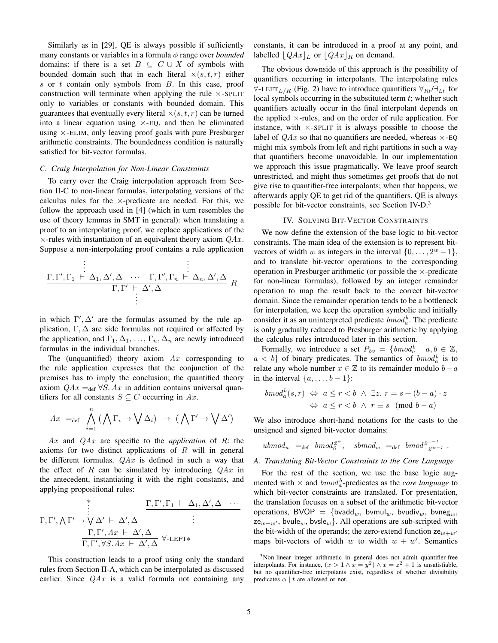Similarly as in [\[29\]](#page-9-28), QE is always possible if sufficiently many constants or variables in a formula φ range over *bounded* domains: if there is a set  $B \subseteq C \cup X$  of symbols with bounded domain such that in each literal  $\times(s,t,r)$  either  $s$  or  $t$  contain only symbols from  $B$ . In this case, proof construction will terminate when applying the rule  $\times$ -SPLIT only to variables or constants with bounded domain. This guarantees that eventually every literal  $\times(s,t,r)$  can be turned into a linear equation using  $\times$ -EQ, and then be eliminated using  $\times$ -ELIM, only leaving proof goals with pure Presburger arithmetic constraints. The boundedness condition is naturally satisfied for bit-vector formulas.

# <span id="page-4-2"></span>*C. Craig Interpolation for Non-Linear Constraints*

To carry over the Craig interpolation approach from Section [II-C](#page-2-6) to non-linear formulas, interpolating versions of the calculus rules for the  $\times$ -predicate are needed. For this, we follow the approach used in [\[4\]](#page-9-3) (which in turn resembles the use of theory lemmas in SMT in general): when translating a proof to an interpolating proof, we replace applications of the  $\times$ -rules with instantiation of an equivalent theory axiom  $QAx$ . Suppose a non-interpolating proof contains a rule application

$$
\begin{array}{cccc}\n & \vdots & & \vdots \\
\Gamma, \Gamma', \Gamma_1 \vdash \Delta_1, \Delta', \Delta & \cdots & \Gamma, \Gamma', \Gamma_n \vdash \Delta_n, \Delta', \Delta \\
 & \Gamma, \Gamma' \vdash \Delta', \Delta & & \\
 & \vdots & & \n\end{array} R
$$

in which  $\Gamma', \Delta'$  are the formulas assumed by the rule application,  $\Gamma$ ,  $\Delta$  are side formulas not required or affected by the application, and  $\Gamma_1, \Delta_1, \ldots, \Gamma_n, \Delta_n$  are newly introduced formulas in the individual branches.

The (unquantified) theory axiom  $Ax$  corresponding to the rule application expresses that the conjunction of the premises has to imply the conclusion; the quantified theory axiom  $QAx =_{def} \forall S. Ax$  in addition contains universal quantifiers for all constants  $S \subseteq C$  occurring in Ax.

$$
Ax =_{def} \bigwedge_{i=1}^{n} (\bigwedge \Gamma_{i} \to \bigvee \Delta_{i}) \to (\bigwedge \Gamma' \to \bigvee \Delta')
$$

Ax and QAx are specific to the *application* of R: the axioms for two distinct applications of  $R$  will in general be different formulas.  $QAx$  is defined in such a way that the effect of R can be simulated by introducing  $QAx$  in the antecedent, instantiating it with the right constants, and applying propositional rules:

$$
\begin{array}{ccccccccc}\n & & & \Gamma, \Gamma', \Gamma_1 \vdash \Delta_1, \Delta', \Delta & \cdots \\
\vdots & & & \Gamma, \Gamma', \Gamma_1 \vdash \Delta_1, \Delta', \Delta & \cdots \\
\hline\n & & & \Gamma, \Gamma', Ax \vdash \Delta', \Delta & & \vdots \\
\hline\n & & & \Gamma, \Gamma', \forall S.Ax \vdash \Delta', \Delta & \forall\text{-LEFT*}\n\end{array}
$$

This construction leads to a proof using only the standard rules from Section [II-A,](#page-1-1) which can be interpolated as discussed earlier. Since  $QAx$  is a valid formula not containing any constants, it can be introduced in a proof at any point, and labelled  $\left| QAx \right|_L$  or  $\left| QAx \right|_R$  on demand.

The obvious downside of this approach is the possibility of quantifiers occurring in interpolants. The interpolating rules  $\forall$ -LEFT<sub>L/R</sub> (Fig. [2\)](#page-2-2) have to introduce quantifiers  $\forall_{Rt}/\exists_{Lt}$  for local symbols occurring in the substituted term  $t$ ; whether such quantifiers actually occur in the final interpolant depends on the applied  $\times$ -rules, and on the order of rule application. For instance, with  $\times$ -SPLIT it is always possible to choose the label of  $QAx$  so that no quantifiers are needed, whereas  $\times$ -EQ might mix symbols from left and right partitions in such a way that quantifiers become unavoidable. In our implementation we approach this issue pragmatically. We leave proof search unrestricted, and might thus sometimes get proofs that do not give rise to quantifier-free interpolants; when that happens, we afterwards apply QE to get rid of the quantifiers. QE is always possible for bit-vector constraints, see Section [IV-D.](#page-7-0)<sup>[3](#page-4-1)</sup>

#### IV. SOLVING BIT-VECTOR CONSTRAINTS

<span id="page-4-0"></span>We now define the extension of the base logic to bit-vector constraints. The main idea of the extension is to represent bitvectors of width w as integers in the interval  $\{0, \ldots, 2^w - 1\}$ , and to translate bit-vector operations to the corresponding operation in Presburger arithmetic (or possible the  $\times$ -predicate for non-linear formulas), followed by an integer remainder operation to map the result back to the correct bit-vector domain. Since the remainder operation tends to be a bottleneck for interpolation, we keep the operation symbolic and initially consider it as an uninterpreted predicate  $bmod_a^b$ . The predicate is only gradually reduced to Presburger arithmetic by applying the calculus rules introduced later in this section.

Formally, we introduce a set  $P_{bv} = \{bm_{od}^b \mid a, b \in \mathbb{Z}, \}$  $a < b$ } of binary predicates. The semantics of  $bmod_a^b$  is to relate any whole number  $x \in \mathbb{Z}$  to its remainder modulo  $b - a$ in the interval  $\{a, \ldots, b-1\}$ :

$$
bmod_a^b(s,r) \Leftrightarrow a \le r < b \land \exists z. \ r = s + (b-a) \cdot z
$$

$$
\Leftrightarrow a \le r < b \land r \equiv s \pmod{b-a}
$$

We also introduce short-hand notations for the casts to the unsigned and signed bit-vector domains:

$$
ubmod_w =_{def} bmod_0^2 w, \quad sbmod_w =_{def} bmod_{-2w-1}^{2w-1}.
$$

# *A. Translating Bit-Vector Constraints to the Core Language*

For the rest of the section, we use the base logic augmented with  $\times$  and  $bmod_a^b$ -predicates as the *core language* to which bit-vector constraints are translated. For presentation, the translation focuses on a subset of the arithmetic bit-vector operations, BVOP = {bvadd<sub>w</sub>, bvmul<sub>w</sub>, bvudiv<sub>w</sub>, bvneg<sub>w</sub>,  $ze_{w+w'}$ , bvule<sub>w</sub>, bvsle<sub>w</sub>}. All operations are sub-scripted with the bit-width of the operands; the zero-extend function  $ze_{w+w'}$ maps bit-vectors of width w to width  $w + w'$ . Semantics

<span id="page-4-1"></span><sup>&</sup>lt;sup>3</sup>Non-linear integer arithmetic in general does not admit quantifier-free interpolants. For instance,  $(x > 1 \land x = y^2) \land x = z^2 + 1$  is unsatisfiable, but no quantifier-free interpolants exist, regardless of whether divisibility predicates  $\alpha \mid t$  are allowed or not.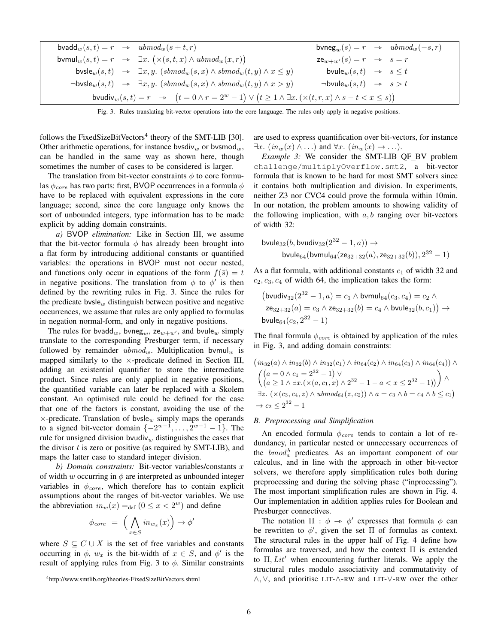| bvadd <sub>w</sub> $(s,t) = r \rightarrow ubmod_w(s+t,r)$                                                                         |  |                                                                                                                                     |                                                 |  | $\text{bvneg}_{w}(s) = r \rightarrow ubmod_{w}(-s,r)$ |  |  |  |
|-----------------------------------------------------------------------------------------------------------------------------------|--|-------------------------------------------------------------------------------------------------------------------------------------|-------------------------------------------------|--|-------------------------------------------------------|--|--|--|
|                                                                                                                                   |  | bvmul <sub>w</sub> $(s,t) = r \rightarrow \exists x. (\times (s,t,x) \wedge ubmod_w(x,r))$                                          | $ze_{w+w'}(s) = r \rightarrow s = r$            |  |                                                       |  |  |  |
|                                                                                                                                   |  | bvsle <sub>w</sub> $(s,t) \rightarrow \exists x,y.$ (sbmod <sub>w</sub> $(s,x) \wedge$ sbmod <sub>w</sub> $(t,y) \wedge x \leq y$ ) | bvule <sub>w</sub> $(s,t) \rightarrow s \leq t$ |  |                                                       |  |  |  |
|                                                                                                                                   |  | $\neg \textsf{bvsle}_w(s,t) \rightarrow \exists x,y. \ (sbmod_w(s,x) \land sbmod_w(t,y) \land x > y)$                               | $\neg$ bvule $w(s,t)$ $\rightarrow$ $s > t$     |  |                                                       |  |  |  |
| bvudiv $_w(s,t) = r \rightarrow (t = 0 \land r = 2^w - 1) \lor (t \ge 1 \land \exists x. (\times (t,r,x) \land s - t < x \le s))$ |  |                                                                                                                                     |                                                 |  |                                                       |  |  |  |
|                                                                                                                                   |  |                                                                                                                                     |                                                 |  |                                                       |  |  |  |

<span id="page-5-1"></span>Fig. 3. Rules translating bit-vector operations into the core language. The rules only apply in negative positions.

follows the FixedSizeBitVectors<sup>[4](#page-5-0)</sup> theory of the SMT-LIB [\[30\]](#page-9-29). Other arithmetic operations, for instance bvsdiv<sub>w</sub> or bvsmod<sub>w</sub>, can be handled in the same way as shown here, though sometimes the number of cases to be considered is larger.

The translation from bit-vector constraints  $\phi$  to core formulas  $\phi_{core}$  has two parts: first, BVOP occurrences in a formula  $\phi$ have to be replaced with equivalent expressions in the core language; second, since the core language only knows the sort of unbounded integers, type information has to be made explicit by adding domain constraints.

*a)* BVOP *elimination:* Like in Section [III,](#page-2-0) we assume that the bit-vector formula  $\phi$  has already been brought into a flat form by introducing additional constants or quantified variables: the operations in BVOP must not occur nested, and functions only occur in equations of the form  $f(\bar{s}) = t$ in negative positions. The translation from  $\phi$  to  $\phi'$  is then defined by the rewriting rules in Fig. [3.](#page-5-1) Since the rules for the predicate bysle<sub>w</sub> distinguish between positive and negative occurrences, we assume that rules are only applied to formulas in negation normal-form, and only in negative positions.

The rules for bvadd<sub>w</sub>, bvneg<sub>w</sub>, ze<sub>w+w'</sub>, and bvule<sub>w</sub> simply translate to the corresponding Presburger term, if necessary followed by remainder  $ubmod_w$ . Multiplication by  $mul_w$  is mapped similarly to the  $\times$ -predicate defined in Section [III,](#page-2-0) adding an existential quantifier to store the intermediate product. Since rules are only applied in negative positions, the quantified variable can later be replaced with a Skolem constant. An optimised rule could be defined for the case that one of the factors is constant, avoiding the use of the  $\times$ -predicate. Translation of bvsle<sub>w</sub> simply maps the operands to a signed bit-vector domain  $\{-2^{w-1}, \ldots, 2^{w-1}-1\}$ . The rule for unsigned division bvudiv $_w$  distinguishes the cases that the divisor  $t$  is zero or positive (as required by SMT-LIB), and maps the latter case to standard integer division.

*b) Domain constraints:* Bit-vector variables/constants x of width w occurring in  $\phi$  are interpreted as unbounded integer variables in  $\phi_{core}$ , which therefore has to contain explicit assumptions about the ranges of bit-vector variables. We use the abbreviation  $in_w(x) =_{def} (0 \le x < 2^w)$  and define

$$
\phi_{core} = \left( \bigwedge_{x \in S} in_{w_x}(x) \right) \to \phi'
$$

where  $S \subseteq C \cup X$  is the set of free variables and constants occurring in  $\phi$ ,  $w_x$  is the bit-width of  $x \in S$ , and  $\phi'$  is the result of applying rules from Fig. [3](#page-5-1) to  $\phi$ . Similar constraints are used to express quantification over bit-vectors, for instance  $\exists x.$   $(in_w(x) \wedge ...)$  and  $\forall x.$   $(in_w(x) \rightarrow ...).$ 

<span id="page-5-2"></span>*Example 3:* We consider the SMT-LIB QF\_BV problem challenge/multiplyOverflow.smt2, a bit-vector formula that is known to be hard for most SMT solvers since it contains both multiplication and division. In experiments, neither Z3 nor CVC4 could prove the formula within 10min. In our notation, the problem amounts to showing validity of the following implication, with  $a, b$  ranging over bit-vectors of width 32:

$$
\begin{aligned} \text{b} \text{vule}_{32}(b, \text{b} \text{vudiv}_{32}(2^{32} - 1, a)) &\to \\ \text{b} \text{vule}_{64}(\text{b} \text{vmul}_{64}(\text{ze}_{32+32}(a), \text{ze}_{32+32}(b)), 2^{32} - 1) \end{aligned}
$$

As a flat formula, with additional constants  $c_1$  of width 32 and  $c_2, c_3, c_4$  of width 64, the implication takes the form:

$$
(\text{bvudiv}_{32}(2^{32} - 1, a) = c_1 \wedge \text{bvmul}_{64}(c_3, c_4) = c_2 \wedge
$$
  
\n
$$
ze_{32+32}(a) = c_3 \wedge ze_{32+32}(b) = c_4 \wedge \text{bvule}_{32}(b, c_1)) \rightarrow
$$
  
\n
$$
\text{bvule}_{64}(c_2, 2^{32} - 1)
$$

The final formula  $\phi_{core}$  is obtained by application of the rules in Fig. [3,](#page-5-1) and adding domain constraints:

$$
(in_{32}(a) \land in_{32}(b) \land in_{32}(c_1) \land in_{64}(c_2) \land in_{64}(c_3) \land in_{64}(c_4)) \land \n\left(\begin{array}{c} (a = 0 \land c_1 = 2^{32} - 1) \lor \\ (a \ge 1 \land \exists x. (\times (a, c_1, x) \land 2^{32} - 1 - a < x \le 2^{32} - 1)) \end{array}\right) \land \exists z. (\times (c_3, c_4, z) \land ubmod_{64}(z, c_2)) \land a = c_3 \land b = c_4 \land b \le c_1) \rightarrow c_2 \le 2^{32} - 1
$$

#### *B. Preprocessing and Simplification*

An encoded formula  $\phi_{core}$  tends to contain a lot of redundancy, in particular nested or unnecessary occurrences of the  $bmod_a^b$  predicates. As an important component of our calculus, and in line with the approach in other bit-vector solvers, we therefore apply simplification rules both during preprocessing and during the solving phase ("inprocessing"). The most important simplification rules are shown in Fig. [4.](#page-6-0) Our implementation in addition applies rules for Boolean and Presburger connectives.

The notation  $\Pi : \phi \to \phi'$  expresses that formula  $\phi$  can<br>rewritten to  $\phi'$  given the set  $\Pi$  of formulas as context. be rewritten to  $\phi'$ , given the set  $\Pi$  of formulas as context. The structural rules in the upper half of Fig. [4](#page-6-0) define how formulas are traversed, and how the context Π is extended to  $\Pi$ ,  $Lit'$  when encountering further literals. We apply the structural rules modulo associativity and commutativity of ∧, ∨, and prioritise LIT-∧-RW and LIT-∨-RW over the other

<span id="page-5-0"></span><sup>4</sup><http://www.smtlib.org/theories-FixedSizeBitVectors.shtml>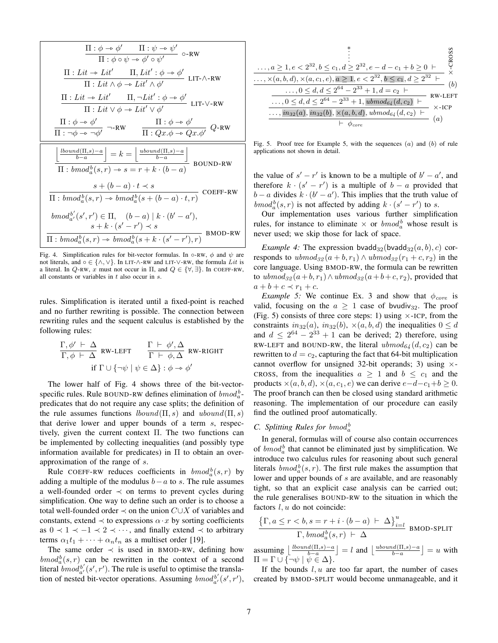$$
\frac{\Pi : \phi \rightarrow \phi' \qquad \Pi : \psi \rightarrow \psi' \qquad \phi \cdot \mathbb{R} \times \mathbb{R} \times \mathbb{R} \times \mathbb{R} \times \mathbb{R} \times \mathbb{R} \times \mathbb{R} \times \mathbb{R} \times \mathbb{R} \times \mathbb{R} \times \mathbb{R} \times \mathbb{R} \times \mathbb{R} \times \mathbb{R} \times \mathbb{R} \times \mathbb{R} \times \mathbb{R} \times \mathbb{R} \times \mathbb{R} \times \mathbb{R} \times \mathbb{R} \times \mathbb{R} \times \mathbb{R} \times \mathbb{R} \times \mathbb{R} \times \mathbb{R} \times \mathbb{R} \times \mathbb{R} \times \mathbb{R} \times \mathbb{R} \times \mathbb{R} \times \mathbb{R} \times \mathbb{R} \times \mathbb{R} \times \mathbb{R} \times \mathbb{R} \times \mathbb{R} \times \mathbb{R} \times \mathbb{R} \times \mathbb{R} \times \mathbb{R} \times \mathbb{R} \times \mathbb{R} \times \mathbb{R} \times \mathbb{R} \times \mathbb{R} \times \mathbb{R} \times \mathbb{R} \times \mathbb{R} \times \mathbb{R} \times \mathbb{R} \times \mathbb{R} \times \mathbb{R} \times \mathbb{R} \times \mathbb{R} \times \mathbb{R} \times \mathbb{R} \times \mathbb{R} \times \mathbb{R} \times \mathbb{R} \times \mathbb{R} \times \mathbb{R} \times \mathbb{R} \times \mathbb{R} \times \mathbb{R} \times \mathbb{R} \times \mathbb{R} \times \mathbb{R} \times \mathbb{R} \times \mathbb{R} \times \mathbb{R} \times \mathbb{R} \times \mathbb{R} \times \mathbb{R} \times \mathbb{R} \times \mathbb{R} \times \mathbb{R} \times \mathbb{R} \times \mathbb{R} \times \mathbb{R} \times \mathbb{R} \times \mathbb{R} \times \mathbb{R} \times \mathbb{R} \times \mathbb{R} \times \mathbb{R} \times \mathbb{R} \times \mathbb{R} \times \mathbb{R} \times \mathbb{R} \times \mathbb{R} \times
$$

<span id="page-6-0"></span>Fig. 4. Simplification rules for bit-vector formulas. In  $\circ$ -RW,  $\phi$  and  $\psi$  are not literals, and ◦ ∈ {∧, ∨}. In LIT-∧-RW and LIT-∨-RW, the formula  $Lit$  is a literal. In Q-RW, x must not occur in  $\Pi$ , and  $Q \in \{\forall, \exists\}$ . In COEFF-RW, all constants or variables in  $t$  also occur in  $s$ .

rules. Simplification is iterated until a fixed-point is reached and no further rewriting is possible. The connection between rewriting rules and the sequent calculus is established by the following rules:

$$
\frac{\Gamma, \phi' \vdash \Delta}{\Gamma, \phi \vdash \Delta} \text{ RW-LEFT} \qquad \frac{\Gamma \vdash \phi', \Delta}{\Gamma \vdash \phi, \Delta} \text{ RW-RIGHT}
$$
\n
$$
\text{if } \Gamma \cup \{\neg \psi \mid \psi \in \Delta\} : \phi \to \phi'
$$

The lower half of Fig. [4](#page-6-0) shows three of the bit-vectorspecific rules. Rule BOUND-RW defines elimination of  $bmod_a^b$ predicates that do not require any case splits; the definition of the rule assumes functions  $\text{Ibound}(\Pi, s)$  and  $\text{Ibound}(\Pi, s)$ that derive lower and upper bounds of a term s, respectively, given the current context Π. The two functions can be implemented by collecting inequalities (and possibly type information available for predicates) in  $\Pi$  to obtain an overapproximation of the range of s.

Rule COEFF-RW reduces coefficients in  $bmod_a^b(s,r)$  by adding a multiple of the modulus  $b-a$  to s. The rule assumes a well-founded order  $\prec$  on terms to prevent cycles during simplification. One way to define such an order is to choose a total well-founded order  $\prec$  on the union  $C \cup X$  of variables and constants, extend  $\prec$  to expressions  $\alpha \cdot x$  by sorting coefficients as  $0 \prec 1 \prec -1 \prec 2 \prec \cdots$ , and finally extend  $\prec$  to arbitrary terms  $\alpha_1 t_1 + \cdots + \alpha_n t_n$  as a multiset order [\[19\]](#page-9-18).

The same order  $\prec$  is used in BMOD-RW, defining how  $bmod_a^b(s,r)$  can be rewritten in the context of a second literal  $\overline{bmod}_{a'}^{b'}(s', r')$ . The rule is useful to optimise the translation of nested bit-vector operations. Assuming  $bmod_{a'}^{b'}(s', r')$ ,

|                                                                                                 | CRO |
|-------------------------------------------------------------------------------------------------|-----|
| , $a \geq 1, e < 2^{32}, b \leq c_1, d \geq 2^{32}, e - d - c_1 + b \geq 0$                     |     |
| $\ldots, \times (a, b, d), \times (a, c_1, e), a \geq 1, e < 2^{32}, b \leq c_1, d \geq 2^{32}$ | (b) |
| $\ldots, 0 \le d, d \le 2^{64} - 2^{33} + 1, d = c_2$                                           |     |
| $\ldots, 0 \le d, d \le 2^{64} - 2^{33} + 1, \text{ubmod}_{64}(d, c_2)$<br>$\times$ -ICP        |     |
| $\ldots, in_{32}(a), in_{32}(b), \times (a, b, d), ubmod_{64}(d, c_2)$<br>(a)                   |     |
|                                                                                                 |     |

<span id="page-6-2"></span>Fig. 5. Proof tree for Example [5,](#page-6-1) with the sequences  $(a)$  and  $(b)$  of rule applications not shown in detail.

the value of  $s' - r'$  is known to be a multiple of  $b' - a'$ , and therefore  $k \cdot (s'-r')$  is a multiple of  $b-a$  provided that  $b - a$  divides  $k \cdot (b' - a')$ . This implies that the truth value of  $bmod_a^b(s,r)$  is not affected by adding  $k \cdot (s'-r')$  to s.

Our implementation uses various further simplification rules, for instance to eliminate  $\times$  or  $bmod_{a}^{b}$  whose result is never used; we skip those for lack of space.

*Example 4:* The expression bvadd<sub>32</sub>(bvadd<sub>32</sub> $(a, b), c$ ) corresponds to  $ubmod_{32}(a + b, r_1) \wedge ubmod_{32}(r_1 + c, r_2)$  in the core language. Using BMOD-RW, the formula can be rewritten to  $ubmod_{32}(a+b, r_1) \wedge ubmod_{32}(a+b+c, r_2)$ , provided that  $a+b+c \prec r_1+c$ .

<span id="page-6-1"></span>*Example 5:* We continue Ex. [3](#page-5-2) and show that  $\phi_{\text{core}}$  is valid, focusing on the  $a \geq 1$  case of bvudiv<sub>32</sub>. The proof (Fig. [5\)](#page-6-2) consists of three core steps: 1) using  $\times$ -ICP, from the constraints  $in_{32}(a)$ ,  $in_{32}(b)$ ,  $\times(a, b, d)$  the inequalities  $0 \leq d$ and  $d \leq 2^{64} - 2^{33} + 1$  can be derived; 2) therefore, using RW-LEFT and BOUND-RW, the literal  $ubmod_{64}(d, c_2)$  can be rewritten to  $d = c_2$ , capturing the fact that 64-bit multiplication cannot overflow for unsigned 32-bit operands; 3) using  $\times$ -CROSS, from the inequalities  $a \geq 1$  and  $b \leq c_1$  and the products  $\times(a, b, d)$ ,  $\times(a, c_1, e)$  we can derive  $e-d-c_1+b \geq 0$ . The proof branch can then be closed using standard arithmetic reasoning. The implementation of our procedure can easily find the outlined proof automatically.

# *C. Splitting Rules for bmod*<sup>b</sup>

In general, formulas will of course also contain occurrences of  $bmod<sub>a</sub><sup>b</sup>$  that cannot be eliminated just by simplification. We introduce two calculus rules for reasoning about such general literals  $bmod_a^b(s, r)$ . The first rule makes the assumption that lower and upper bounds of s are available, and are reasonably tight, so that an explicit case analysis can be carried out; the rule generalises BOUND-RW to the situation in which the factors  $l, u$  do not coincide:

$$
\frac{\left\{\Gamma,a\leq r
$$

assuming  $\lfloor \frac{lbound(\Pi, s) - a}{b - a} \rfloor = l$  and  $\lfloor \frac{ubound(\Pi, s) - a}{b - a} \rfloor = u$  with  $\Pi = \Gamma \cup \{ \neg \psi \mid \psi \in \Delta \}.$ 

If the bounds  $l, u$  are too far apart, the number of cases created by BMOD-SPLIT would become unmanageable, and it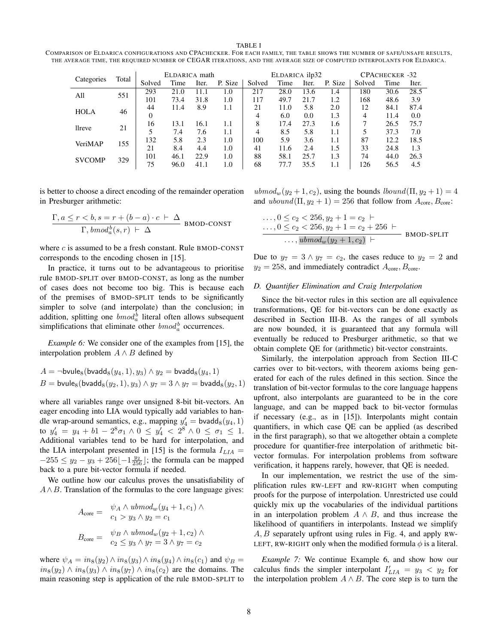TABLE I

<span id="page-7-2"></span>

| COMPARISON OF ELDARICA CONFIGURATIONS AND CPACHECKER. FOR EACH FAMILY, THE TABLE SHOWS THE NUMBER OF SAFE/UNSAFE RESULTS, |
|---------------------------------------------------------------------------------------------------------------------------|
| THE AVERAGE TIME. THE REOUIRED NUMBER OF CEGAR ITERATIONS, AND THE AVERAGE SIZE OF COMPUTED INTERPOLANTS FOR ELDARICA.    |

|                     |        |      | ELDARICA math |         | ELDARICA ilp32 |      |       |         | CPACHECKER -32 |      |       |      |
|---------------------|--------|------|---------------|---------|----------------|------|-------|---------|----------------|------|-------|------|
| Total<br>Categories | Solved | Time | Iter.         | P. Size | Solved         | Time | Iter. | P. Size | Solved         | Time | Iter. |      |
| 551<br>All          |        | 293  | 21.0          | 1.1     | 1.0            | 217  | 28.0  | 13.6    | 1.4            | 180  | 30.6  | 28.5 |
|                     |        | 101  | 73.4          | 31.8    | 1.0            | 117  | 49.7  | 21.7    | 1.2            | 168  | 48.6  | 3.9  |
| <b>HOLA</b><br>46   |        | 44   | 11.4          | 8.9     | 1.1            | 21   | 11.0  | 5.8     | 2.0            | 12   | 84.1  | 87.4 |
|                     |        | 0    |               |         |                | 4    | 6.0   | 0.0     | 1.3            | 4    | 11.4  | 0.0  |
| 21<br><i>llreve</i> |        | 16   | 13.1          | 16.1    | 1.1            | 8    | 17.4  | 27.3    | 1.6            |      | 26.5  | 75.7 |
|                     |        | 5    | 7.4           | 7.6     | 1.1            | 4    | 8.5   | 5.8     | 1.1            |      | 37.3  | 7.0  |
| VeriMAP             | 155    | 132  | 5.8           | 2.3     | 1.0            | 100  | 5.9   | 3.6     | 1.1            | 87   | 12.2  | 18.5 |
|                     |        | 21   | 8.4           | 4.4     | 1.0            | 41   | 11.6  | 2.4     | 1.5            | 33   | 24.8  | 1.3  |
| <b>SVCOMP</b>       | 329    | 101  | 46.1          | 22.9    | 1.0            | 88   | 58.1  | 25.7    | 1.3            | 74   | 44.0  | 26.3 |
|                     |        | 75   | 96.0          | 41.1    | 1.0            | 68   | 77.′  | 35.5    | 1.1            | 126  | 56.5  | 4.5  |

is better to choose a direct encoding of the remainder operation in Presburger arithmetic:

$$
\frac{\Gamma, a \leq r < b, s = r + (b - a) \cdot c + \Delta}{\Gamma, \mathit{bmod}_a^b(s, r) + \Delta}
$$
 BMOD-CONST

where  $c$  is assumed to be a fresh constant. Rule BMOD-CONST corresponds to the encoding chosen in [\[15\]](#page-9-14).

In practice, it turns out to be advantageous to prioritise rule BMOD-SPLIT over BMOD-CONST, as long as the number of cases does not become too big. This is because each of the premises of BMOD-SPLIT tends to be significantly simpler to solve (and interpolate) than the conclusion; in addition, splitting one  $bmod_a^b$  literal often allows subsequent simplifications that eliminate other  $bmod<sub>a</sub><sup>b</sup>$  occurrences.

<span id="page-7-1"></span>*Example 6:* We consider one of the examples from [\[15\]](#page-9-14), the interpolation problem  $A \wedge B$  defined by

$$
A = \neg \text{brule}_8(\text{bvadd}_8(y_4, 1), y_3) \land y_2 = \text{bvadd}_8(y_4, 1)
$$
  

$$
B = \text{brule}_8(\text{bvadd}_8(y_2, 1), y_3) \land y_7 = 3 \land y_7 = \text{bvadd}_8(y_2, 1)
$$

where all variables range over unsigned 8-bit bit-vectors. An eager encoding into LIA would typically add variables to handle wrap-around semantics, e.g., mapping  $y'_4$  = bvadd<sub>8</sub>( $y_4$ , 1) to  $y'_4 = y_4 + b_1 - 2^8 \sigma_1 \wedge 0 \le y'_4 < 2^8 \wedge 0 \le \sigma_1 \le 1$ . Additional variables tend to be hard for interpolation, and the LIA interpolant presented in [\[15\]](#page-9-14) is the formula  $I_{LIA}$  =  $-255 \le y_2 - y_3 + 256[-1\frac{y_2}{256}]$ ; the formula can be mapped back to a pure bit-vector formula if needed.

We outline how our calculus proves the unsatisfiability of  $A \wedge B$ . Translation of the formulas to the core language gives:

$$
A_{\text{core}} = \psi_A \wedge \text{ubmod}_w(y_4 + 1, c_1) \wedge
$$
  
\n
$$
c_1 > y_3 \wedge y_2 = c_1
$$
  
\n
$$
B_{\text{core}} = \psi_B \wedge \text{ubmod}_w(y_2 + 1, c_2) \wedge
$$
  
\n
$$
c_2 \le y_3 \wedge y_7 = 3 \wedge y_7 = c_2
$$

where  $\psi_A = in_8(y_2) \wedge in_8(y_3) \wedge in_8(y_4) \wedge in_8(c_1)$  and  $\psi_B =$  $in_8(y_2) \wedge in_8(y_3) \wedge in_8(y_7) \wedge in_8(c_2)$  are the domains. The main reasoning step is application of the rule BMOD-SPLIT to  $ubmod_w(y_2+1, c_2)$ , using the bounds  $lbound(\Pi, y_2+1) = 4$ and  $ubound(\Pi, y_2 + 1) = 256$  that follow from  $A_{\text{core}}$ ,  $B_{\text{core}}$ :

$$
\dots, 0 \le c_2 < 256, y_2 + 1 = c_2 + \dots, 0 \le c_2 < 256, y_2 + 1 = c_2 + 256 + \dots, \allowbreak ubmody(y_2 + 1, c_2) + \dots
$$
BMOD-SPLIT

Due to  $y_7 = 3 \wedge y_7 = c_2$ , the cases reduce to  $y_2 = 2$  and  $y_2 = 258$ , and immediately contradict  $A_{\text{core}}$ ,  $B_{\text{core}}$ .

# <span id="page-7-0"></span>*D. Quantifier Elimination and Craig Interpolation*

Since the bit-vector rules in this section are all equivalence transformations, QE for bit-vectors can be done exactly as described in Section [III-B.](#page-3-1) As the ranges of all symbols are now bounded, it is guaranteed that any formula will eventually be reduced to Presburger arithmetic, so that we obtain complete QE for (arithmetic) bit-vector constraints.

Similarly, the interpolation approach from Section [III-C](#page-4-2) carries over to bit-vectors, with theorem axioms being generated for each of the rules defined in this section. Since the translation of bit-vector formulas to the core language happens upfront, also interpolants are guaranteed to be in the core language, and can be mapped back to bit-vector formulas if necessary (e.g., as in [\[15\]](#page-9-14)). Interpolants might contain quantifiers, in which case QE can be applied (as described in the first paragraph), so that we altogether obtain a complete procedure for quantifier-free interpolation of arithmetic bitvector formulas. For interpolation problems from software verification, it happens rarely, however, that QE is needed.

In our implementation, we restrict the use of the simplification rules RW-LEFT and RW-RIGHT when computing proofs for the purpose of interpolation. Unrestricted use could quickly mix up the vocabularies of the individual partitions in an interpolation problem  $A \wedge B$ , and thus increase the likelihood of quantifiers in interpolants. Instead we simplify A, B separately upfront using rules in Fig. [4,](#page-6-0) and apply RW-LEFT, RW-RIGHT only when the modified formula  $\phi$  is a literal.

*Example 7:* We continue Example [6,](#page-7-1) and show how our calculus finds the simpler interpolant  $I'_{LIA} = y_3 < y_2$  for the interpolation problem  $A \wedge B$ . The core step is to turn the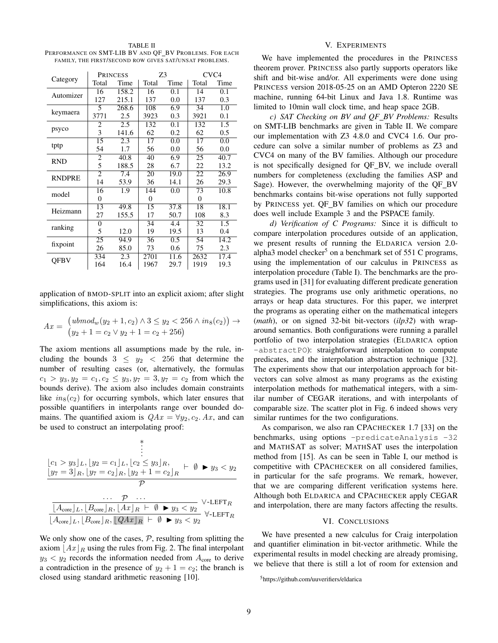<span id="page-8-1"></span>TABLE II PERFORMANCE ON SMT-LIB BV AND QF\_BV PROBLEMS. FOR EACH FAMILY, THE FIRST/SECOND ROW GIVES SAT/UNSAT PROBLEMS.

|               |                | <b>PRINCESS</b> | Z3             |      | CVC <sub>4</sub> |      |  |
|---------------|----------------|-----------------|----------------|------|------------------|------|--|
| Category      | Total          | Time            | Total          | Time | Total            | Time |  |
| Automizer     | 16             | 158.2           | 16             | 0.1  | 14               | 0.1  |  |
|               | 127            | 215.1           | 137            | 0.0  | 137              | 0.3  |  |
|               | 5              | 268.6           | 108            | 6.9  | 34               | 1.0  |  |
| keymaera      | 3771           | 2.5             | 3923           | 0.3  | 3921             | 0.1  |  |
|               | 2              | 2.5             | 132            | 0.1  | 132              | 1.5  |  |
| psyco         | 3              | 141.6           | 62             | 0.2  | 62               | 0.5  |  |
|               | 15             | 2.3             | 17             | 0.0  | 17               | 0.0  |  |
| tptp          | 54             | 1.7             | 56             | 0.0  | 56               | 0.0  |  |
| <b>RND</b>    | 2              | 40.8            | 40             | 6.9  | 25               | 40.7 |  |
|               | 5              | 188.5           | 28             | 6.7  | 22               | 13.2 |  |
| <b>RNDPRE</b> | $\overline{c}$ | 7.4             | 20             | 19.0 | 22               | 26.9 |  |
|               | 14             | 53.9            | 36             | 14.1 | 26               | 29.3 |  |
| model         | 16             | 1.9             | 144            | 0.0  | 73               | 10.8 |  |
|               | $\overline{0}$ |                 | $\overline{0}$ |      | $\overline{0}$   |      |  |
| Heizmann      | 13             | 49.8            | 15             | 37.8 | 18               | 18.1 |  |
|               | 27             | 155.5           | 17             | 50.7 | 108              | 8.3  |  |
|               | 0              |                 | 34             | 4.4  | 32               | 1.5  |  |
| ranking       | 5              | 12.0            | 19             | 19.5 | 13               | 0.4  |  |
|               | 25             | 94.9            | 36             | 0.5  | 54               | 14.2 |  |
| fixpoint      | 26             | 85.0            | 73             | 0.6  | 75               | 2.3  |  |
| QFBV          | 334            | 2.3             | 2701           | 11.6 | 2632             | 17.4 |  |
|               | 164            | 16.4            | 1967           | 29.7 | 1919             | 19.3 |  |

application of BMOD-SPLIT into an explicit axiom; after slight simplifications, this axiom is:

$$
Ax = \begin{pmatrix} ubmod_w(y_2+1, c_2) \land 3 \le y_2 < 256 \land in_8(c_2) \end{pmatrix} \to
$$
  

$$
\begin{pmatrix} y_2+1 = c_2 \lor y_2+1 = c_2+256 \end{pmatrix}
$$

The axiom mentions all assumptions made by the rule, including the bounds  $3 \leq y_2 < 256$  that determine the number of resulting cases (or, alternatively, the formulas  $c_1 > y_3, y_2 = c_1, c_2 \le y_3, y_7 = 3, y_7 = c_2$  from which the bounds derive). The axiom also includes domain constraints like  $in_8(c_2)$  for occurring symbols, which later ensures that possible quantifiers in interpolants range over bounded domains. The quantified axiom is  $QAx = \forall y_2, c_2. Ax$ , and can be used to construct an interpolating proof:

$$
\begin{array}{c}\n\vdots \\
\lfloor c_1 > y_3 \rfloor_L, \lfloor y_2 = c_1 \rfloor_L, \lfloor c_2 \le y_3 \rfloor_R, \\
\lfloor y_7 = 3 \rfloor_R, \lfloor y_7 = c_2 \rfloor_R, \lfloor y_2 + 1 = c_2 \rfloor_R \quad \vdash \ \emptyset \quad \blacktriangleright y_3 < y_2 \\
\hline\n\hline\n\end{array}
$$
\n
$$
\begin{array}{c}\n\ldots \quad \mathcal{P} \\
\hline\n\lfloor A_{\text{core}} \rfloor_L, \lfloor B_{\text{core}} \rfloor_R, \lfloor A x \rfloor_R \quad \vdash \ \emptyset \quad \blacktriangleright y_3 < y_2 \\
\lfloor A_{\text{core}} \rfloor_L, \lfloor B_{\text{core}} \rfloor_R, \lfloor A x \rfloor_R \quad \vdash \ \emptyset \quad \blacktriangleright y_3 < y_2\n\end{array} \forall \text{-LEFT } \mathcal{P}
$$

We only show one of the cases,  $P$ , resulting from splitting the axiom  $\left| Ax \right|_R$  using the rules from Fig. [2.](#page-2-2) The final interpolant  $y_3 < y_2$  records the information needed from  $A_{\text{core}}$  to derive a contradiction in the presence of  $y_2 + 1 = c_2$ ; the branch is closed using standard arithmetic reasoning [\[10\]](#page-9-9).

# V. EXPERIMENTS

<span id="page-8-0"></span>We have implemented the procedures in the PRINCESS theorem prover. PRINCESS also partly supports operators like shift and bit-wise and/or. All experiments were done using PRINCESS version 2018-05-25 on an AMD Opteron 2220 SE machine, running 64-bit Linux and Java 1.8. Runtime was limited to 10min wall clock time, and heap space 2GB.

*c) SAT Checking on BV and QF BV Problems:* Results on SMT-LIB benchmarks are given in Table [II.](#page-8-1) We compare our implementation with Z3 4.8.0 and CVC4 1.6. Our procedure can solve a similar number of problems as Z3 and CVC4 on many of the BV families. Although our procedure is not specifically designed for QF BV, we include overall numbers for completeness (excluding the families ASP and Sage). However, the overwhelming majority of the QF BV benchmarks contains bit-wise operations not fully supported by PRINCESS yet. QF\_BV families on which our procedure does well include Example [3](#page-5-2) and the PSPACE family.

*d) Verification of C Programs:* Since it is difficult to compare interpolation procedures outside of an application, we present results of running the ELDARICA version 2.0- alpha3 model checker<sup>[5](#page-8-2)</sup> on a benchmark set of  $551$  C programs, using the implementation of our calculus in PRINCESS as interpolation procedure (Table [I\)](#page-7-2). The benchmarks are the programs used in [\[31\]](#page-9-30) for evaluating different predicate generation strategies. The programs use only arithmetic operations, no arrays or heap data structures. For this paper, we interpret the programs as operating either on the mathematical integers (*math*), or on signed 32-bit bit-vectors (*ilp32*) with wraparound semantics. Both configurations were running a parallel portfolio of two interpolation strategies (ELDARICA option -abstractPO): straightforward interpolation to compute predicates, and the interpolation abstraction technique [\[32\]](#page-9-31). The experiments show that our interpolation approach for bitvectors can solve almost as many programs as the existing interpolation methods for mathematical integers, with a similar number of CEGAR iterations, and with interpolants of comparable size. The scatter plot in Fig. [6](#page-9-32) indeed shows very similar runtimes for the two configurations.

As comparison, we also ran CPACHECKER 1.7 [\[33\]](#page-9-33) on the benchmarks, using options -predicateAnalysis -32 and MATHSAT as solver; MATHSAT uses the interpolation method from [\[15\]](#page-9-14). As can be seen in Table [I,](#page-7-2) our method is competitive with CPACHECKER on all considered families, in particular for the safe programs. We remark, however, that we are comparing different verification systems here. Although both ELDARICA and CPACHECKER apply CEGAR and interpolation, there are many factors affecting the results.

# VI. CONCLUSIONS

We have presented a new calculus for Craig interpolation and quantifier elimination in bit-vector arithmetic. While the experimental results in model checking are already promising, we believe that there is still a lot of room for extension and

<span id="page-8-2"></span><sup>5</sup><https://github.com/uuverifiers/eldarica>